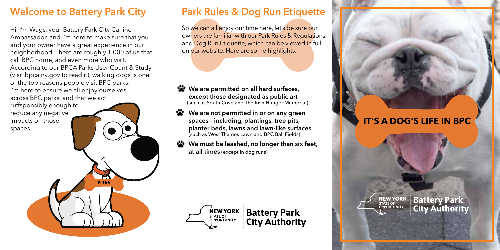## **Welcome to Battery Park City**

Hi, I'm Wags, your Battery Park City Canine Ambassador, and I'm here to make sure that you and your owner have a great experience in our neighborhood. There are roughly 1,000 of us that call BPC home, and even more who visit. According to our BPCA Parks User Count & Study (visit bpca.ny.gov to read it), walking dogs is one of the top reasons people visit BPC parks. I'm here to ensure we all enjoy ourselves across BPC parks, and that we act ruffsponsibly enough to reduce any negative

**WAGS** 

impacts on those spaces.

# **Park Rules & Dog Run Etiquette**

So we can all enjoy our time here, let's be sure our owners are familiar with our Park Rules & Regulations and Dog Run Etiquette, which can be viewed in full on our website. Here are some highlights:

### **• We are permitted on all hard surfaces, except those designated as public art** (such as South Cove and The Irish Hunger Memorial)

 **We are not permitted in or on any green spaces – including, plantings, tree pits, planter beds, lawns and lawn-like surfaces** (such as West Thames Lawn and BPC Ball Fields)

**We must be leashed, no longer than six feet, at all times** (except in dog runs)



**Battery Park<br>City Authority** 

# **IT'S A DOG'S LIFE IN BPC**



**Battery Park City Authority**